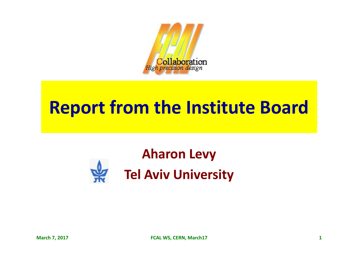

## **Report from the Institute Board**

## **Aharon Levy Tel Aviv University**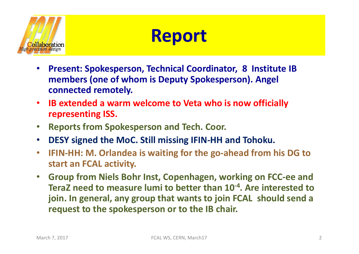

#### **Report**

- **Present: Spokesperson, Technical Coordinator, 8 Institute IB** members (one of whom is Deputy Spokesperson). Angel connected remotely.
- **IB extended a warm welcome to Veta who is now officially representing ISS.**
- **Reports from Spokesperson and Tech. Coor.**
- **DESY** signed the MoC. Still missing IFIN-HH and Tohoku.
- IFIN-HH: M. Orlandea is waiting for the go-ahead from his DG to start an FCAL activity.
- **Group from Niels Bohr Inst, Copenhagen, working on FCC-ee and TeraZ** need to measure lumi to better than 10<sup>-4</sup>. Are interested to **join.** In general, any group that wants to join FCAL should send a request to the spokesperson or to the IB chair.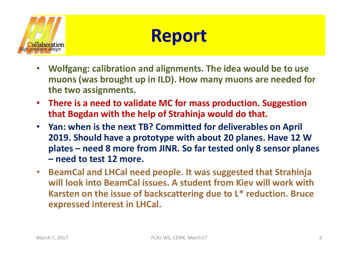

#### **Report**

- **Wolfgang: calibration and alignments. The idea would be to use** muons (was brought up in ILD). How many muons are needed for the two assignments.
- There is a need to validate MC for mass production. Suggestion **that Bogdan with the help of Strahinja would do that.**
- Yan: when is the next TB? Committed for deliverables on April **2019. Should have a prototype with about 20 planes. Have 12 W plates** – need 8 more from JINR. So far tested only 8 sensor planes **– need to test 12 more.**
- **BeamCal and LHCal need people. It was suggested that Strahinja** will look into BeamCal issues. A student from Kiev will work with **Karsten on the issue of backscattering due to L\* reduction. Bruce expressed interest in LHCal.**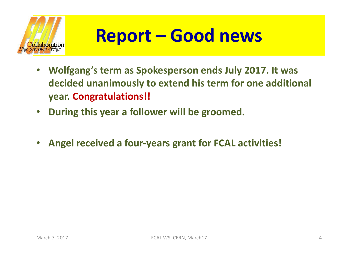

# **Report – Good news**

- **Wolfgang's term as Spokesperson ends July 2017. It was** decided unanimously to extend his term for one additional **year. Congratulations!!**
- During this year a follower will be groomed.
- Angel received a four-years grant for FCAL activities!